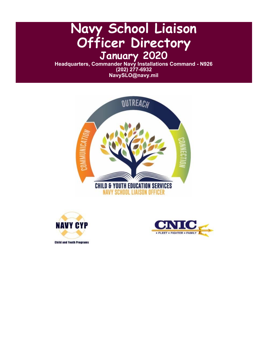# **Navy School Liaison Officer Directory January 2020**

**Headquarters, Commander Navy Installations Command - N926 (202) 277-6932 NavySLO@navy.mil**







**Child and Youth Programs**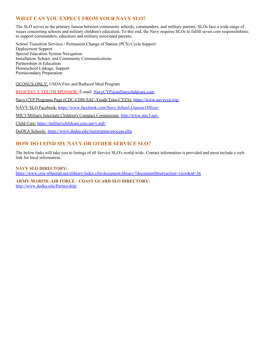# **WHAT CAN YOU EXPECT FROM YOUR NAVY SLO?**

The SLO serves as the primary liaison between community schools, commanders, and military parents. SLOs face a wide range of issues concerning schools and military children's education. To this end, the Navy requires SLOs to fulfill seven core responsibilities to support commanders, educators and military associated parents:

School Transition Services / Permanent Change of Station (PCS) Cycle Support Deployment Support Special Education System Navigation Installation, School, and Community Communications Partnerships in Education Homeschool Linkage, Support Postsecondary Preparation

OCONUS ONLY: USDA Free and Reduced Meal Program

REQUEST A YOUTH SPONSOR: E-mail: [NavyCYP@militarychildcare.com](mailto:NavyCYP@militarychildcare.com)

Navy CYP Programs Page (CDC-CDH-SAC-Youth/Teen-CYES): <https://www.navycyp.org/>

NAVY SLO Facebook: <https://www.facebook.com/Navy.School.LIasion.Officer/>

MIC3-Military Interstate Children's Compact Commission: <http://www.mic3.net/>

Child Care: <https://militarychildcare.cnic.navy.mil/>

DoDEA Schools: <https://www.dodea.edu/registration-process.cfm>

## **HOW DO I FIND MY NAVY OR OTHER SERVICE SLO?**

The below links will take you to listings of all Service SLO's world-wide. Contact information is provided and most include a web link for local information.

**NAVY SLO DIRECTORY:** <https://www.cnic-n9portal.net/elibrary/index.cfm/document-library/?documentlibraryaction=view&id=36>

**ARMY-MARINE-AIR FORCE - COAST GUARD SLO DIRECTORY:** <http://www.dodea.edu/Partnership/>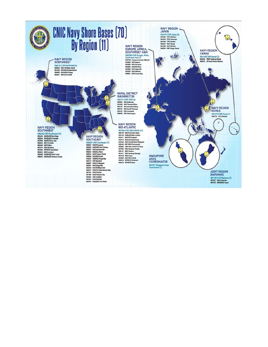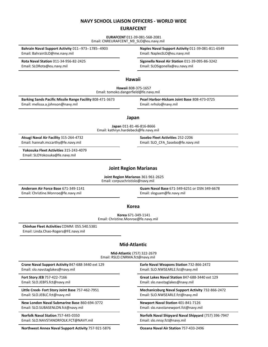#### **NAVY SCHOOL LIAISON OFFICERS - WORLD WIDE**

#### **EURAFCENT**

**EURAFCENT** 011-39-081-568-2081 Email: CNREURAFCENT\_N9\_SLO@eu.navy.mil

Email: BahrainSLO@me.navy.mil email: NaplesSLO@eu.navy.mil

Email: SLORota@eu.navy.mil Email: SLOSigonella@eu.navy.mil

**Bahrain Naval Support Activity** 011--973--1785--4903 **Naples Naval Support Activity** 011-39-081-811-6549

**Rota Naval Station** 011-34-956-82-2425 **Sigonella Naval Air Station** 011-39-095-86-3242

#### **Hawaii**

**Hawaii** 808-375-1657 Email: tomoko.dangerfield@fe.navy.mil

**Barking Sands Pacific Missile Range Facility** 808-471-3673 **Pearl Harbor-Hickam Joint Base** 808-473-0725 Email: melissa.a.johnson@navy.mil Email: nrhslo@navy.mil

#### **Japan**

**Japan** 011-81-46-816-8666 Email: kathryn.hardebeck@fe.navy.mil

**Atsugi Naval Air Facility** 315-264-4732 **Sasebo Fleet Activities** 252-2206 Email: hannah.mccarthy@fe.navy.mil email: SLO\_CFA\_Sasebo@fe.navy.mil

**Yokosuka Fleet Activities** 315-243-4079 Email: SLOYokosuka@fe.navy.mil

# **Joint Region Marianas**

**Joint Region Marianas** 361-961-2625 Email: corpuschristislo@navy.mil

Email: Christine.Monroe@fe.navy.mil email: sloguam@fe.navy.mil

**Andersen Air Force Base** 671-349-1141 **Guam Naval Base** 671-349-6251 or DSN 349-6678

#### **Korea**

**Korea** 671-349-1141 Email: Christine.Monroe@fe.navy.mil

**Chinhae Fleet Activities** COMM: 055.540.5381 Email: Linda.Chao-Rogers@FE.navy.mil

#### **Mid-Atlantic**

**Mid-Atlantic** (757) 322-2679 Email: RSLO.CNRMA.fct@navy.mil

**Crane Naval Support Activity** 847-688-3440 ext 129 **Earle Naval Weapons Station** 732-866-2472 Email: slo.navstaglakes@navy.mil Email: SLO.NWSEARLE.fct@navy.mil

Email: SLO.JEBLC.fct@navy.mil Email: SLO.NWSEARLE.fct@navy.mil

**New London Naval Submarine Base** 860-694-3772 **Newport Naval Station** 401-841-7126 Email: SLO.SUBASENLON.fct@navy.mil Email: slo.navstanewport.fct@navy.mil

Email: SLO.NAVSTANORFOLK.FCT@NAVY.mil email: slo.nnsy.fct@navy.mil

**Northwest Annex Naval Support Activity** 757-921-5876 **Oceana Naval Air Station** 757-433-2496

**Fort Story JEB** 757-422-7166 **Great Lakes Naval Station** 847-688-3440 ext 129 Email: SLO.JEBFS.fct@navy.mil Email: slo.navstaglakes@navy.mil

**Little Creek- Fort Story Joint Base** 757-462-7951 **Mechanicsburg Naval Support Activity** 732-866-2472

**Norfolk Naval Station** 757-445-0350 **Norfolk Naval Shipyard Naval Shipyard** (757) 396-7947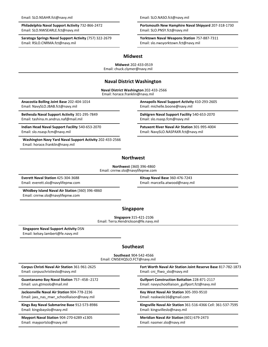Email: SLO.NWSEARLE.fct@navy.mil Email: SLO.PNSY.fct@navy.mil

**Saratoga Springs Naval Support Activity** (757) 322-2679 **Yorktown Naval Weapons Station** 757-887-7311 Email: RSLO.CNRMA.fct@navy.mil Email: slo.nwsyorktown.fct@navy.mil

**Philadelphia Naval Support Activity** 732-866-2472 **Portsmouth New Hamphire Naval Shipyard** 207-318-1730

#### **Midwest**

**Midwest** 202-433-0519 Email: chuck.clymer@navy.mil

#### **Naval District Washington**

**Naval District Washington** 202-433-2566 Email: horace.franklin@navy.mil

Email: NavySLO.JBAB.fct@navy.mil email: michelle.boone@navy.mil

Email: tashina.m.andrus.naf@mail.mil Email: slo.nsasp.fcm@navy.mil

**Indian Head Naval Support Facility** 540-653-2070 **Patuxent River Naval Air Station** 301-995-4004 Email: slo.nsasp.fcm@navy.mil Email: NavySLO.NASPAXR.fct@navy.mil

**Washington Navy Yard Naval Support Activity** 202-433-2566 Email: horace.franklin@navy.mil

**Anacostia Bolling Joint Base** 202-404-1014 **Annapolis Naval Support Activity** 410-293-2605

**Bethesda Naval Support Activity** 301-295-7849 **Dahlgren Naval Support Facility** 540-653-2070

#### **Northwest**

**Northwest** (360) 396-4860 Email: cnrnw.slo@navylifepnw.com

Email: everett.slo@navylifepnw.com ether and the state of the mail: marcella.atwood@navy.mil

**Everett Naval Station** 425-304-3688 **Kitsap Naval Base** 360-476-7243

**Whidbey Island Naval Air Station** (360) 396-4860 Email: cnrnw.slo@navylifepnw.com

#### **Singapore**

**Singapore** 315-421-2106 Email: Terra.Hendrickson@fe.navy.mil

**Singapore Naval Support Activity** DSN Email: kelsey.lambert@fe.navy.mil

#### **Southeast**

**Southeast** 904-542-4566 Email: CNISEHQSLO.FCT@navy.mil

Email: corpuschristieslo@navy.mil email: Email: cni ftwo slo@navy.mil

**Jacksonville Naval Air Station** 904-778-2236 **Key West Naval Air Station** 305-393-9510 Email: jaxs\_nas\_mwr\_schoolliaison@navy.mil email: naskwslo16@gmail.com

Email: kingsbayslo@navy.mil Email: kingsvilleslo@navy.mil

**Mayport Naval Station** 904-270-6289 x1305 **Meridian Naval Air Station** (601) 679-2473 Email: mayportslo@navy.mil email: nasmer.slo@navy.mil

**Corpus Christi Naval Air Station** 361-961-2625 **Fort Worth Naval Air Station Joint Reserve Base** 817-782-1873

**Guantanamo Bay Naval Station** 757--458--2172 **Gulfport Construction Battalion** 228-871-2117 Email: usn.gtmoslo@mail.mil email: navyschoolliaison\_gulfport.fct@navy.mil

**Kings Bay Naval Submarine Base** 912-573-8986 **Kingsville Naval Air Station** 361-516-4366 Cell: 361-537-7595